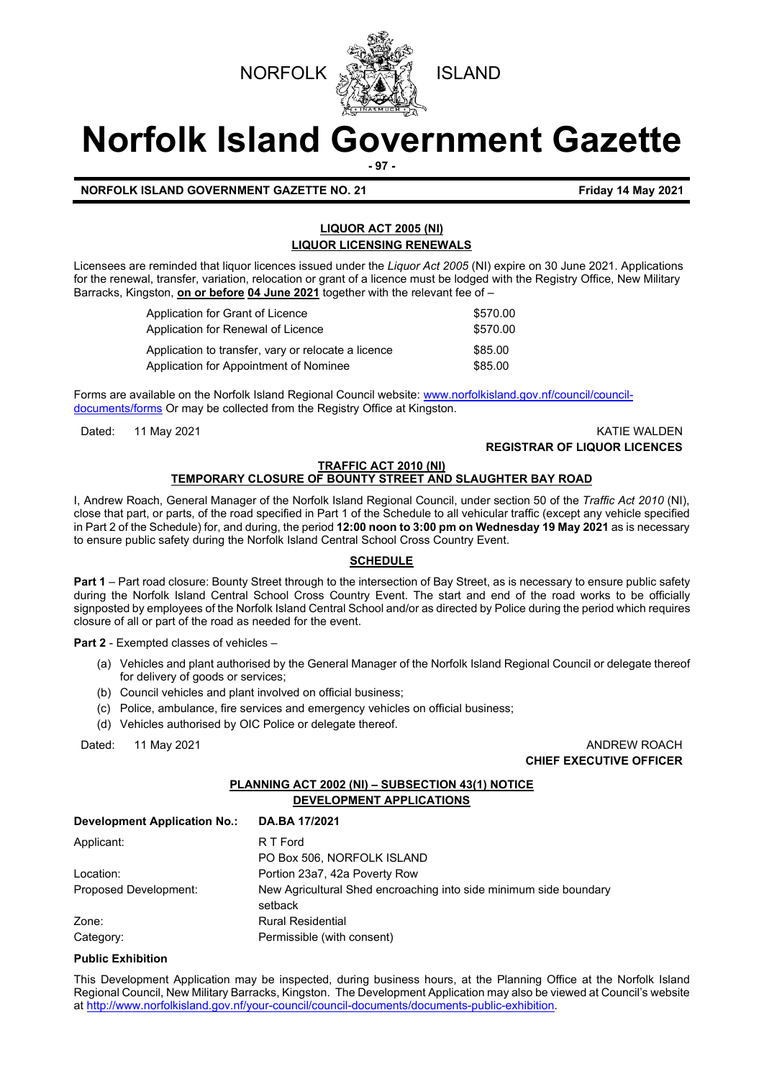



# **Norfolk Island Government Gazette**

**- 97 -**

**NORFOLK ISLAND GOVERNMENT GAZETTE NO. 21 Friday 14 May 2021**

# **LIQUOR ACT 2005 (NI) LIQUOR LICENSING RENEWALS**

Licensees are reminded that liquor licences issued under the *Liquor Act 2005* (NI) expire on 30 June 2021. Applications for the renewal, transfer, variation, relocation or grant of a licence must be lodged with the Registry Office, New Military Barracks, Kingston, **on or before 04 June 2021** together with the relevant fee of –

| Application for Grant of Licence                    | \$570.00 |
|-----------------------------------------------------|----------|
| Application for Renewal of Licence                  | \$570.00 |
| Application to transfer, vary or relocate a licence | \$85.00  |
| Application for Appointment of Nominee              | \$85.00  |

Forms are available on the Norfolk Island Regional Council website: [www.norfolkisland.gov.nf/council/council](http://www.norfolkisland.gov.nf/council/council-documents/forms)[documents/forms](http://www.norfolkisland.gov.nf/council/council-documents/forms) Or may be collected from the Registry Office at Kingston.

# Dated: 11 May 2021 KATIE WALDEN **REGISTRAR OF LIQUOR LICENCES**

## **TRAFFIC ACT 2010 (NI) TEMPORARY CLOSURE OF BOUNTY STREET AND SLAUGHTER BAY ROAD**

I, Andrew Roach, General Manager of the Norfolk Island Regional Council, under section 50 of the *Traffic Act 2010* (NI), close that part, or parts, of the road specified in Part 1 of the Schedule to all vehicular traffic (except any vehicle specified in Part 2 of the Schedule) for, and during, the period **12:00 noon to 3:00 pm on Wednesday 19 May 2021** as is necessary to ensure public safety during the Norfolk Island Central School Cross Country Event.

# **SCHEDULE**

**Part 1** – Part road closure: Bounty Street through to the intersection of Bay Street, as is necessary to ensure public safety during the Norfolk Island Central School Cross Country Event. The start and end of the road works to be officially signposted by employees of the Norfolk Island Central School and/or as directed by Police during the period which requires closure of all or part of the road as needed for the event.

**Part 2** - Exempted classes of vehicles –

- (a) Vehicles and plant authorised by the General Manager of the Norfolk Island Regional Council or delegate thereof for delivery of goods or services;
- (b) Council vehicles and plant involved on official business;
- (c) Police, ambulance, fire services and emergency vehicles on official business;
- (d) Vehicles authorised by OIC Police or delegate thereof.

Dated: 11 May 2021 **ANDREW ROACH CHIEF EXECUTIVE OFFICER** 

# **PLANNING ACT 2002 (NI) – SUBSECTION 43(1) NOTICE DEVELOPMENT APPLICATIONS**

| <b>Development Application No.:</b> | DA.BA 17/2021                                                     |
|-------------------------------------|-------------------------------------------------------------------|
| Applicant:                          | R T Ford                                                          |
|                                     | PO Box 506, NORFOLK ISLAND                                        |
| Location:                           | Portion 23a7, 42a Poverty Row                                     |
| Proposed Development:               | New Agricultural Shed encroaching into side minimum side boundary |
|                                     | setback                                                           |
| Zone:                               | <b>Rural Residential</b>                                          |
| Category:                           | Permissible (with consent)                                        |

## **Public Exhibition**

This Development Application may be inspected, during business hours, at the Planning Office at the Norfolk Island Regional Council, New Military Barracks, Kingston. The Development Application may also be viewed at Council's website a[t http://www.norfolkisland.gov.nf/your-council/council-documents/documents-public-exhibition.](http://www.norfolkisland.gov.nf/your-council/council-documents/documents-public-exhibition)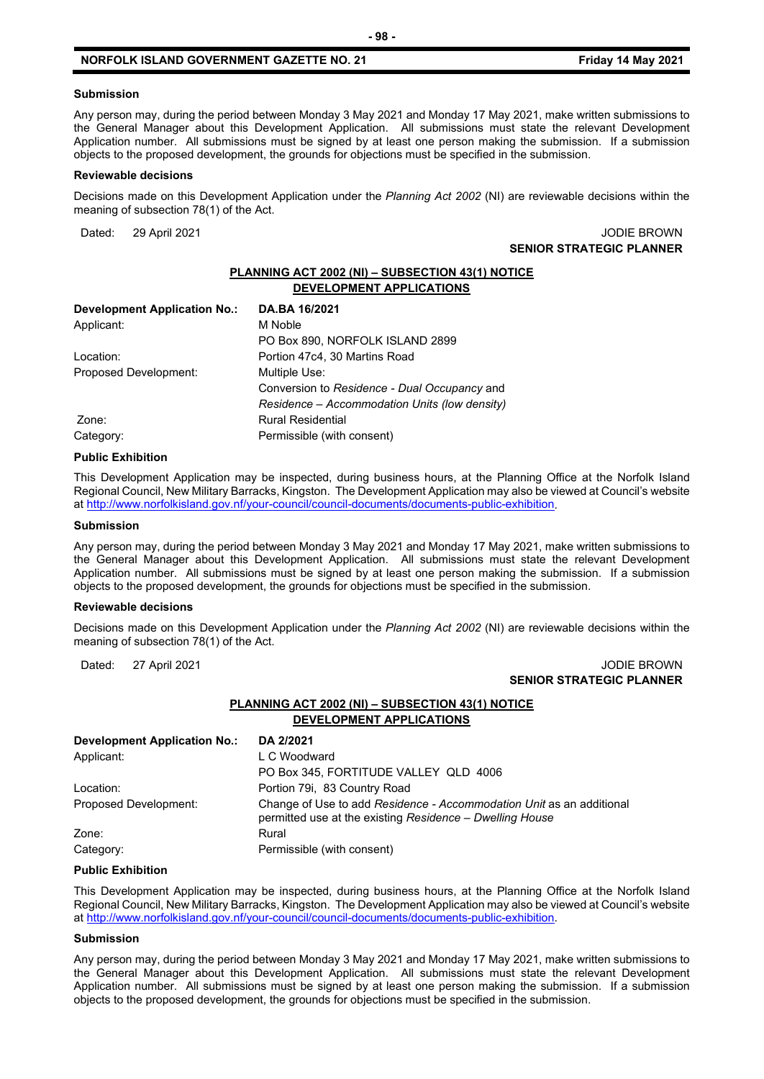#### **Submission**

Any person may, during the period between Monday 3 May 2021 and Monday 17 May 2021, make written submissions to the General Manager about this Development Application. All submissions must state the relevant Development Application number. All submissions must be signed by at least one person making the submission. If a submission objects to the proposed development, the grounds for objections must be specified in the submission.

#### **Reviewable decisions**

Decisions made on this Development Application under the *Planning Act 2002* (NI) are reviewable decisions within the meaning of subsection 78(1) of the Act.

Dated: 29 April 2021 **Dates:** 29 April 2021 **SENIOR STRATEGIC PLANNER** 

# **PLANNING ACT 2002 (NI) – SUBSECTION 43(1) NOTICE DEVELOPMENT APPLICATIONS**

| <b>Development Application No.:</b> | DA.BA 16/2021                                 |
|-------------------------------------|-----------------------------------------------|
| Applicant:                          | M Noble                                       |
|                                     | PO Box 890, NORFOLK ISLAND 2899               |
| Location:                           | Portion 47c4, 30 Martins Road                 |
| Proposed Development:               | Multiple Use:                                 |
|                                     | Conversion to Residence - Dual Occupancy and  |
|                                     | Residence – Accommodation Units (low density) |
| Zone:                               | <b>Rural Residential</b>                      |
| Category:                           | Permissible (with consent)                    |

#### **Public Exhibition**

This Development Application may be inspected, during business hours, at the Planning Office at the Norfolk Island Regional Council, New Military Barracks, Kingston. The Development Application may also be viewed at Council's website a[t http://www.norfolkisland.gov.nf/your-council/council-documents/documents-public-exhibition.](http://www.norfolkisland.gov.nf/your-council/council-documents/documents-public-exhibition)

#### **Submission**

Any person may, during the period between Monday 3 May 2021 and Monday 17 May 2021, make written submissions to the General Manager about this Development Application. All submissions must state the relevant Development Application number. All submissions must be signed by at least one person making the submission. If a submission objects to the proposed development, the grounds for objections must be specified in the submission.

#### **Reviewable decisions**

Decisions made on this Development Application under the *Planning Act 2002* (NI) are reviewable decisions within the meaning of subsection 78(1) of the Act.

## Dated: 27 April 2021 **Dated: 27 April 2021 SENIOR STRATEGIC PLANNER**

## **PLANNING ACT 2002 (NI) – SUBSECTION 43(1) NOTICE DEVELOPMENT APPLICATIONS**

| <b>Development Application No.:</b> | DA 2/2021                                                                                                                        |
|-------------------------------------|----------------------------------------------------------------------------------------------------------------------------------|
| Applicant:                          | L C Woodward                                                                                                                     |
|                                     | PO Box 345, FORTITUDE VALLEY QLD 4006                                                                                            |
| Location:                           | Portion 79i, 83 Country Road                                                                                                     |
| Proposed Development:               | Change of Use to add Residence - Accommodation Unit as an additional<br>permitted use at the existing Residence – Dwelling House |
| Zone:                               | Rural                                                                                                                            |
| Category:                           | Permissible (with consent)                                                                                                       |

#### **Public Exhibition**

This Development Application may be inspected, during business hours, at the Planning Office at the Norfolk Island Regional Council, New Military Barracks, Kingston. The Development Application may also be viewed at Council's website a[t http://www.norfolkisland.gov.nf/your-council/council-documents/documents-public-exhibition.](http://www.norfolkisland.gov.nf/your-council/council-documents/documents-public-exhibition)

#### **Submission**

Any person may, during the period between Monday 3 May 2021 and Monday 17 May 2021, make written submissions to the General Manager about this Development Application. All submissions must state the relevant Development Application number. All submissions must be signed by at least one person making the submission. If a submission objects to the proposed development, the grounds for objections must be specified in the submission.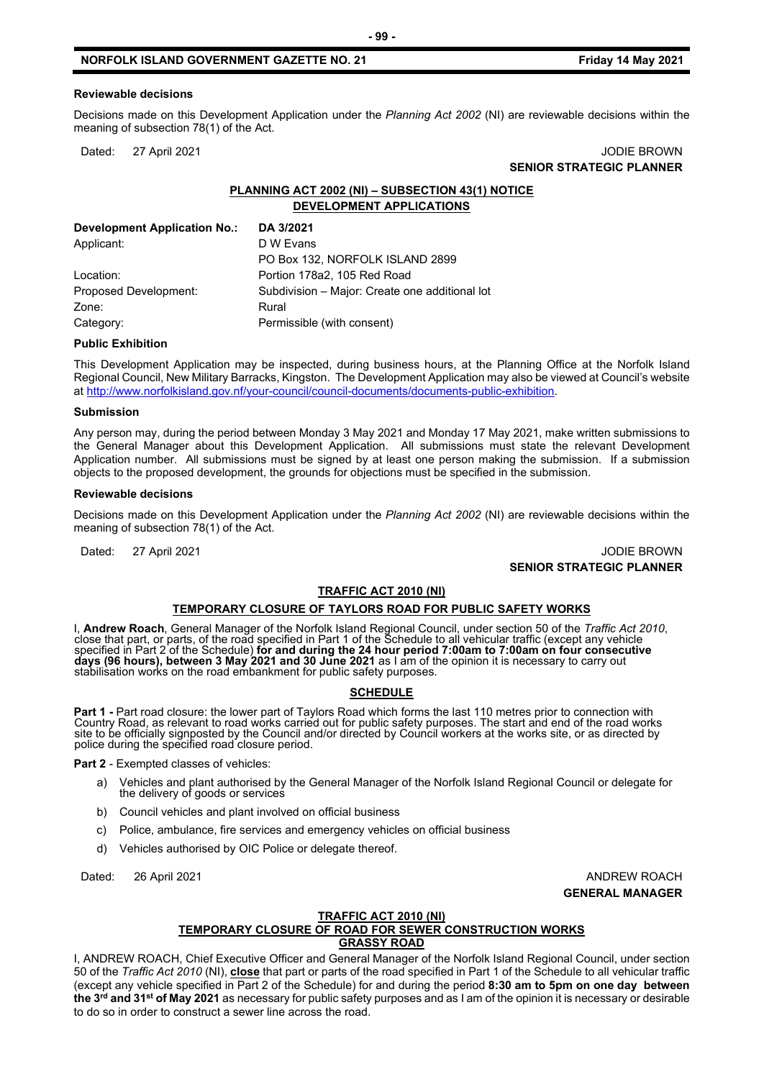#### **Reviewable decisions**

Decisions made on this Development Application under the *Planning Act 2002* (NI) are reviewable decisions within the meaning of subsection 78(1) of the Act.

Dated: 27 April 2021 JODIE BROWN **SENIOR STRATEGIC PLANNER** 

# **PLANNING ACT 2002 (NI) – SUBSECTION 43(1) NOTICE DEVELOPMENT APPLICATIONS**

| Development Application No.: | DA 3/2021                                      |
|------------------------------|------------------------------------------------|
| Applicant:                   | D W Evans                                      |
|                              | PO Box 132, NORFOLK ISLAND 2899                |
| Location:                    | Portion 178a2, 105 Red Road                    |
| Proposed Development:        | Subdivision - Major: Create one additional lot |
| Zone:                        | Rural                                          |
| Category:                    | Permissible (with consent)                     |
|                              |                                                |

## **Public Exhibition**

This Development Application may be inspected, during business hours, at the Planning Office at the Norfolk Island Regional Council, New Military Barracks, Kingston. The Development Application may also be viewed at Council's website a[t http://www.norfolkisland.gov.nf/your-council/council-documents/documents-public-exhibition.](http://www.norfolkisland.gov.nf/your-council/council-documents/documents-public-exhibition)

#### **Submission**

Any person may, during the period between Monday 3 May 2021 and Monday 17 May 2021, make written submissions to the General Manager about this Development Application. All submissions must state the relevant Development Application number. All submissions must be signed by at least one person making the submission. If a submission objects to the proposed development, the grounds for objections must be specified in the submission.

#### **Reviewable decisions**

Decisions made on this Development Application under the *Planning Act 2002* (NI) are reviewable decisions within the meaning of subsection 78(1) of the Act.

Dated: 27 April 2021 **Dates:** 27 April 2021 **SENIOR STRATEGIC PLANNER** 

#### **TRAFFIC ACT 2010 (NI)**

#### **TEMPORARY CLOSURE OF TAYLORS ROAD FOR PUBLIC SAFETY WORKS**

I, **Andrew Roach**, General Manager of the Norfolk Island Regional Council, under section 50 of the *Traffic Act 2010*,<br>close that part, or parts, of the road specified in Part 1 of the Schedule to all vehicular traffic (ex specified in Part 2 of the Schedule) **for and during the 24 hour period 7:00am to 7:00am on four consecutive days (96 hours), between 3 May 2021 and 30 June 2021** as I am of the opinion it is necessary to carry out<br>stabilisation works on the road embankment for public safety purposes.

# **SCHEDULE**

Part 1 - Part road closure: the lower part of Taylors Road which forms the last 110 metres prior to connection with Country Road, as relevant to road works carried out for public safety purposes. The start and end of the r

**Part 2** - Exempted classes of vehicles:

- a) Vehicles and plant authorised by the General Manager of the Norfolk Island Regional Council or delegate for the delivery of goods or services
- b) Council vehicles and plant involved on official business
- c) Police, ambulance, fire services and emergency vehicles on official business
- d) Vehicles authorised by OIC Police or delegate thereof.

Dated: 26 April 2021 **ANDREW ROACH GENERAL MANAGER**

#### **TRAFFIC ACT 2010 (NI) TEMPORARY CLOSURE OF ROAD FOR SEWER CONSTRUCTION WORKS GRASSY ROAD**

I, ANDREW ROACH, Chief Executive Officer and General Manager of the Norfolk Island Regional Council, under section 50 of the *Traffic Act 2010* (NI), **close** that part or parts of the road specified in Part 1 of the Schedule to all vehicular traffic (except any vehicle specified in Part 2 of the Schedule) for and during the period **8:30 am to 5pm on one day between the 3rd and 31st of May 2021** as necessary for public safety purposes and as I am of the opinion it is necessary or desirable to do so in order to construct a sewer line across the road.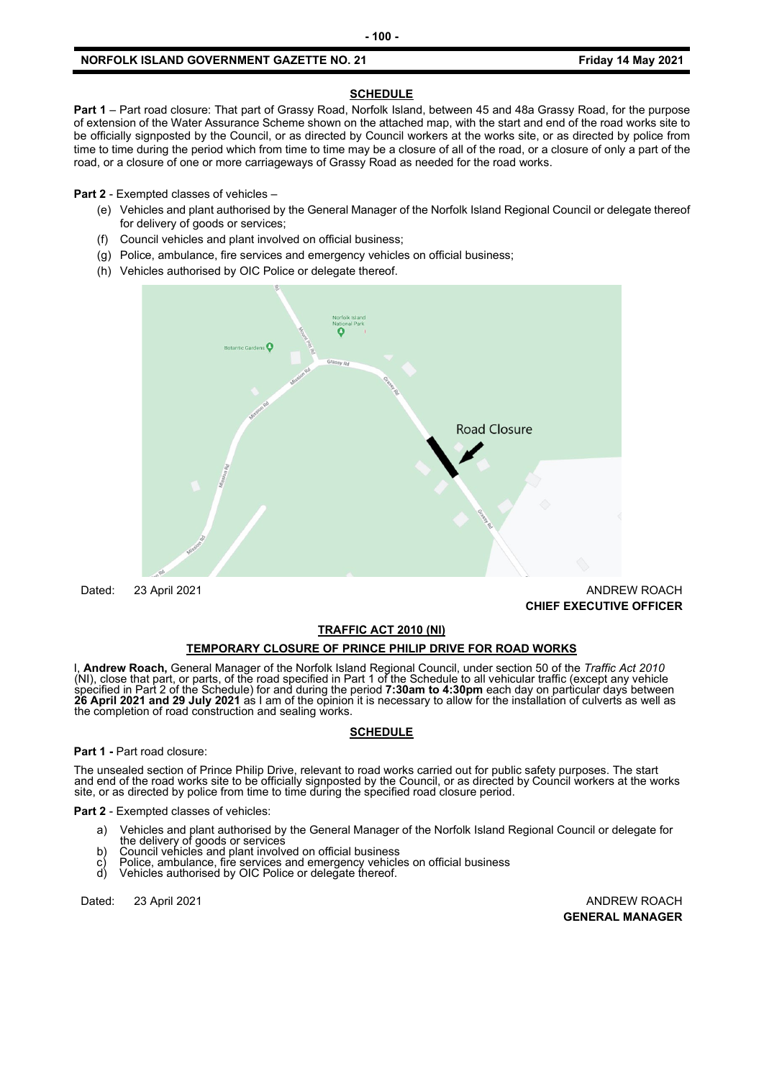## **SCHEDULE**

**Part 1** – Part road closure: That part of Grassy Road, Norfolk Island, between 45 and 48a Grassy Road, for the purpose of extension of the Water Assurance Scheme shown on the attached map, with the start and end of the road works site to be officially signposted by the Council, or as directed by Council workers at the works site, or as directed by police from time to time during the period which from time to time may be a closure of all of the road, or a closure of only a part of the road, or a closure of one or more carriageways of Grassy Road as needed for the road works.

**Part 2** - Exempted classes of vehicles –

- (e) Vehicles and plant authorised by the General Manager of the Norfolk Island Regional Council or delegate thereof for delivery of goods or services;
- (f) Council vehicles and plant involved on official business;
- (g) Police, ambulance, fire services and emergency vehicles on official business;
- (h) Vehicles authorised by OIC Police or delegate thereof.



Dated: 23 April 2021 ANDREW ROACH **CHIEF EXECUTIVE OFFICER** 

## **TRAFFIC ACT 2010 (NI)**

## **TEMPORARY CLOSURE OF PRINCE PHILIP DRIVE FOR ROAD WORKS**

I, **Andrew Roach,** General Manager of the Norfolk Island Regional Council, under section 50 of the *Traffic Act 2010* While close that part, or parts, of the road specified in Part 1 of the Schedule to all vehicular traffic (except any vehicle<br>specified in Part 2 of the Schedule) for and during the period 7:30am to 4:30pm each day on part **26 April 2021 and 29 July 2021** as I am of the opinion it is necessary to allow for the installation of culverts as well as the completion of road construction and sealing works.

## **SCHEDULE**

**Part 1 -** Part road closure:

The unsealed section of Prince Philip Drive, relevant to road works carried out for public safety purposes. The start<br>and end of the road works site to be officially signposted by the Council, or as directed by Council wor site, or as directed by police from time to time during the specified road closure period.

**Part 2** - Exempted classes of vehicles:

- a) Vehicles and plant authorised by the General Manager of the Norfolk Island Regional Council or delegate for
- b) Council vehicles and plant involved on official business
- c) Police, ambulance, fire services and emergency vehicles on official business<br>d) Vehicles authorised by OIC Police or delegate thereof.
- Vehicles authorised by OIC Police or delegate thereof.

Dated: 23 April 2021 **ANDREW ROACH** 

**GENERAL MANAGER**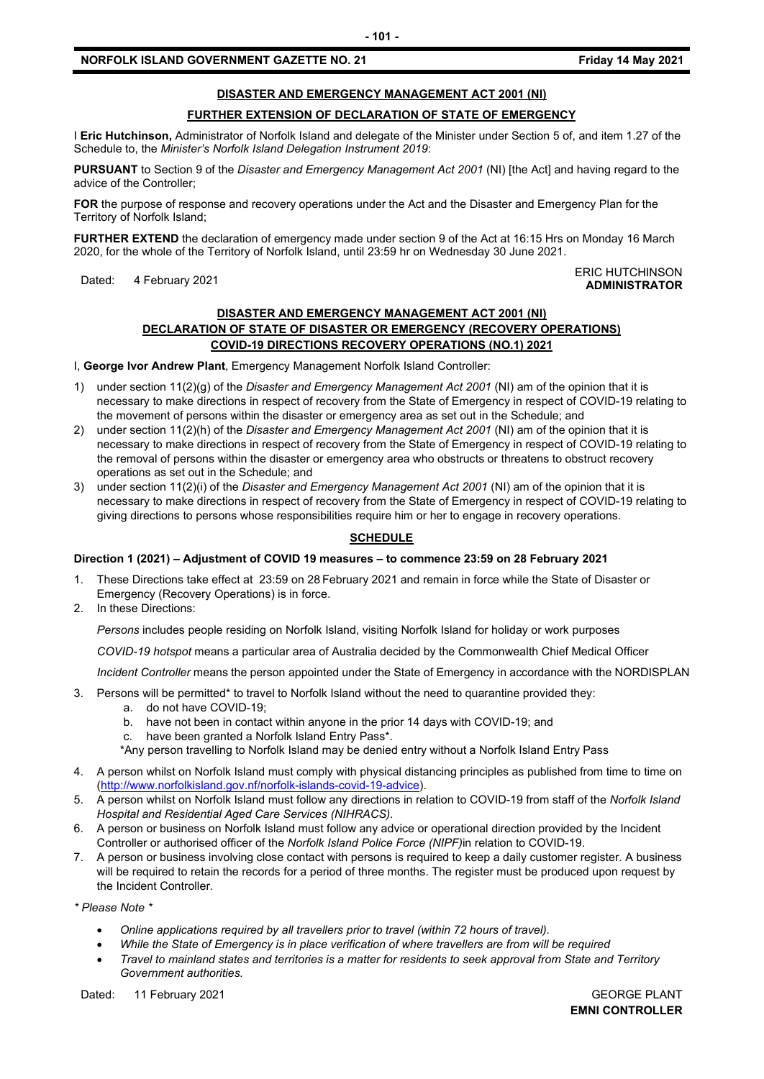# **DISASTER AND EMERGENCY MANAGEMENT ACT 2001 (NI)**

# **FURTHER EXTENSION OF DECLARATION OF STATE OF EMERGENCY**

I **Eric Hutchinson,** Administrator of Norfolk Island and delegate of the Minister under Section 5 of, and item 1.27 of the Schedule to, the *Minister's Norfolk Island Delegation Instrument 2019*:

**PURSUANT** to Section 9 of the *Disaster and Emergency Management Act 2001* (NI) [the Act] and having regard to the advice of the Controller;

**FOR** the purpose of response and recovery operations under the Act and the Disaster and Emergency Plan for the Territory of Norfolk Island;

**FURTHER EXTEND** the declaration of emergency made under section 9 of the Act at 16:15 Hrs on Monday 16 March 2020, for the whole of the Territory of Norfolk Island, until 23:59 hr on Wednesday 30 June 2021.

#### Dated: 4 February 2021<br>Dated: 4 February 2021 **ADMINISTRATOR**

# **DISASTER AND EMERGENCY MANAGEMENT ACT 2001 (NI) DECLARATION OF STATE OF DISASTER OR EMERGENCY (RECOVERY OPERATIONS) COVID-19 DIRECTIONS RECOVERY OPERATIONS (NO.1) 2021**

I, **George Ivor Andrew Plant**, Emergency Management Norfolk Island Controller:

- 1) under section 11(2)(g) of the *Disaster and Emergency Management Act 2001* (NI) am of the opinion that it is necessary to make directions in respect of recovery from the State of Emergency in respect of COVID-19 relating to the movement of persons within the disaster or emergency area as set out in the Schedule; and
- 2) under section 11(2)(h) of the *Disaster and Emergency Management Act 2001* (NI) am of the opinion that it is necessary to make directions in respect of recovery from the State of Emergency in respect of COVID-19 relating to the removal of persons within the disaster or emergency area who obstructs or threatens to obstruct recovery operations as set out in the Schedule; and
- 3) under section 11(2)(i) of the *Disaster and Emergency Management Act 2001* (NI) am of the opinion that it is necessary to make directions in respect of recovery from the State of Emergency in respect of COVID-19 relating to giving directions to persons whose responsibilities require him or her to engage in recovery operations.

# **SCHEDULE**

# **Direction 1 (2021) – Adjustment of COVID 19 measures – to commence 23:59 on 28 February 2021**

- 1. These Directions take effect at 23:59 on 28 February 2021 and remain in force while the State of Disaster or Emergency (Recovery Operations) is in force.
- 2. In these Directions:

*Persons* includes people residing on Norfolk Island, visiting Norfolk Island for holiday or work purposes

*COVID-19 hotspot* means a particular area of Australia decided by the Commonwealth Chief Medical Officer

*Incident Controller* means the person appointed under the State of Emergency in accordance with the NORDISPLAN

- 3. Persons will be permitted\* to travel to Norfolk Island without the need to quarantine provided they:
	- a. do not have COVID-19;
	- b. have not been in contact within anyone in the prior 14 days with COVID-19; and
	- c. have been granted a Norfolk Island Entry Pass\*.
	- \*Any person travelling to Norfolk Island may be denied entry without a Norfolk Island Entry Pass
- 4. A person whilst on Norfolk Island must comply with physical distancing principles as published from time to time on [\(http://www.norfolkisland.gov.nf/norfolk-islands-covid-19-advice\)](http://www.norfolkisland.gov.nf/norfolk-islands-covid-19-advice).
- 5. A person whilst on Norfolk Island must follow any directions in relation to COVID-19 from staff of the *Norfolk Island Hospital and Residential Aged Care Services (NIHRACS).*
- 6. A person or business on Norfolk Island must follow any advice or operational direction provided by the Incident Controller or authorised officer of the *Norfolk Island Police Force (NIPF)*in relation to COVID-19.
- 7. A person or business involving close contact with persons is required to keep a daily customer register. A business will be required to retain the records for a period of three months. The register must be produced upon request by the Incident Controller.

*\* Please Note \** 

- *Online applications required by all travellers prior to travel (within 72 hours of travel).*
- *While the State of Emergency is in place verification of where travellers are from will be required*
- *Travel to mainland states and territories is a matter for residents to seek approval from State and Territory Government authorities.*

Dated: 11 February 2021 GEORGE PLANT

**EMNI CONTROLLER**